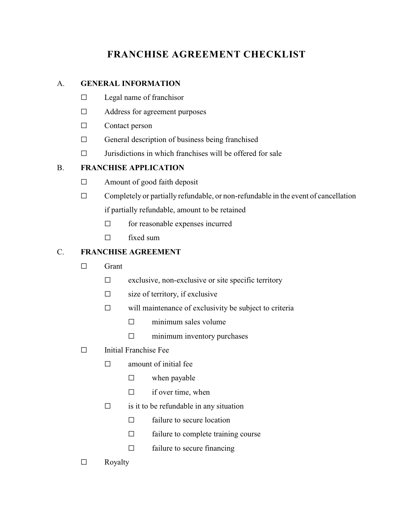# **FRANCHISE AGREEMENT CHECKLIST**

# A. **GENERAL INFORMATION**

- $\square$  Legal name of franchisor
- $\Box$  Address for agreement purposes
- $\Box$  Contact person
- $\Box$  General description of business being franchised
- $\Box$  Jurisdictions in which franchises will be offered for sale

## B. **FRANCHISE APPLICATION**

- $\Box$  Amount of good faith deposit
- $\Box$  Completely or partially refundable, or non-refundable in the event of cancellation if partially refundable, amount to be retained
	- $\Box$  for reasonable expenses incurred
	- $\Box$  fixed sum

# C. **FRANCHISE AGREEMENT**

- $\square$  Grant
	- $\Box$  exclusive, non-exclusive or site specific territory
	- $\Box$  size of territory, if exclusive
	- $\Box$  will maintenance of exclusivity be subject to criteria
		- $\square$  minimum sales volume
		- $\square$  minimum inventory purchases
- $\square$  Initial Franchise Fee
	- $\square$  amount of initial fee
		- $\square$  when payable
		- $\Box$  if over time, when
	- $\Box$  is it to be refundable in any situation
		- $\Box$  failure to secure location
		- $\Box$  failure to complete training course
		- $\Box$  failure to secure financing
- $\square$  Royalty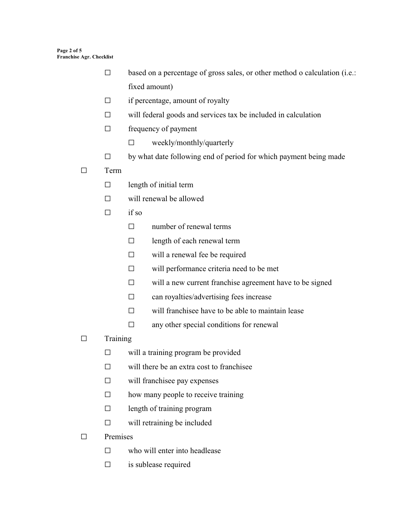- $\Box$  based on a percentage of gross sales, or other method o calculation (i.e.: fixed amount)
- $\Box$  if percentage, amount of royalty
- $\Box$  will federal goods and services tax be included in calculation
- $\Box$  frequency of payment
	- $\square$  weekly/monthly/quarterly
- $\Box$  by what date following end of period for which payment being made

#### G Term

- $\square$  length of initial term
- $\square$  will renewal be allowed
- $\Box$  if so
	- $\square$  number of renewal terms
	- $\square$  length of each renewal term
	- $\square$  will a renewal fee be required
	- $\Box$  will performance criteria need to be met
	- $\square$  will a new current franchise agreement have to be signed
	- $\Box$  can royalties/advertising fees increase
	- $\square$  will franchise have to be able to maintain lease
	- $\square$  any other special conditions for renewal
- $\square$  Training
	- $\square$  will a training program be provided
	- $\square$  will there be an extra cost to franchisee
	- $\square$  will franchise pay expenses
	- $\square$  how many people to receive training
	- $\Box$  length of training program
	- $\square$  will retraining be included

### $\square$  Premises

- $\square$  who will enter into headlease
- $\Box$  is sublease required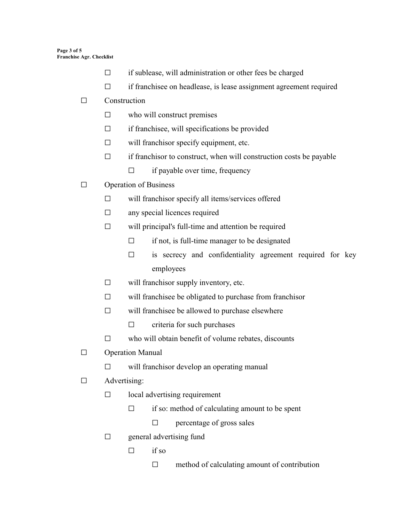- $\Box$  if sublease, will administration or other fees be charged
- $\Box$  if franchisee on headlease, is lease assignment agreement required

#### $\square$  Construction

- $\square$  who will construct premises
- $\Box$  if franchisee, will specifications be provided
- $\Box$  will franchisor specify equipment, etc.
- $\Box$  if franchisor to construct, when will construction costs be payable
	- $\Box$  if payable over time, frequency
- $\Box$  Operation of Business
	- $\square$  will franchisor specify all items/services offered
	- $\square$  any special licences required
	- $\square$  will principal's full-time and attention be required
		- $\Box$  if not, is full-time manager to be designated
		- $\square$  is secrecy and confidentiality agreement required for key employees
	- $\Box$  will franchisor supply inventory, etc.
	- $\Box$  will franchise be obligated to purchase from franchisor
	- $\square$  will franchise be allowed to purchase elsewhere
		- $\Box$  criteria for such purchases
	- $\Box$  who will obtain benefit of volume rebates, discounts
- $\Box$  Operation Manual
	- $\square$  will franchisor develop an operating manual
- $\Box$  Advertising:
	- $\square$  local advertising requirement
		- $\Box$  if so: method of calculating amount to be spent
			- $\square$  percentage of gross sales
	- $\square$  general advertising fund
		- $\Box$  if so
			- $\Box$  method of calculating amount of contribution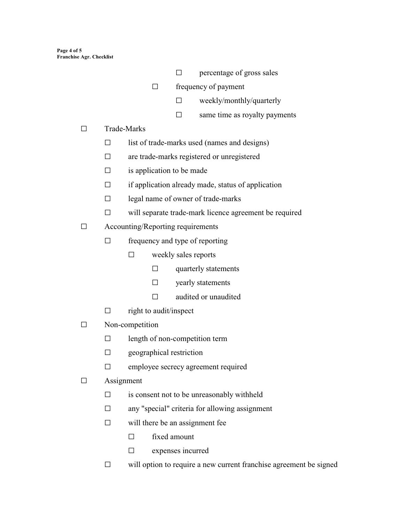- $\square$  percentage of gross sales
- $\Box$  frequency of payment
	- $\square$  weekly/monthly/quarterly
	- $\square$  same time as royalty payments
- $\square$  Trade-Marks
	- $\square$  list of trade-marks used (names and designs)
	- $\square$  are trade-marks registered or unregistered
	- $\square$  is application to be made
	- $\Box$  if application already made, status of application
	- $\square$  legal name of owner of trade-marks
	- $\square$  will separate trade-mark licence agreement be required
- $\Box$  Accounting/Reporting requirements
	- $\Box$  frequency and type of reporting
		- $\square$  weekly sales reports
			- $\square$  quarterly statements
			- $\square$  yearly statements
			- $\square$  audited or unaudited
	- $\square$  right to audit/inspect
- $\square$  Non-competition
	- $\square$  length of non-competition term
	- $\Box$  geographical restriction
	- $\square$  employee secrecy agreement required
- $\Box$  Assignment
	- $\square$  is consent not to be unreasonably withheld
	- $\square$  any "special" criteria for allowing assignment
	- $\square$  will there be an assignment fee
		- $\square$  fixed amount
		- $\square$  expenses incurred
	- $\Box$  will option to require a new current franchise agreement be signed